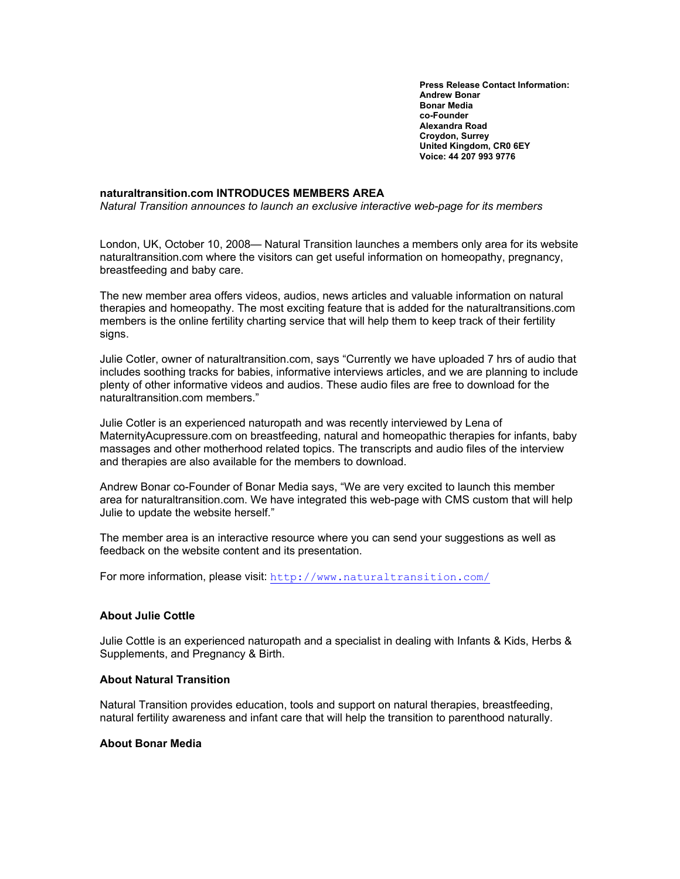**Press Release Contact Information: Andrew Bonar Bonar Media co-Founder Alexandra Road Croydon, Surrey United Kingdom, CR0 6EY Voice: 44 207 993 9776** 

## **naturaltransition.com INTRODUCES MEMBERS AREA**

*Natural Transition announces to launch an exclusive interactive web-page for its members* 

London, UK, October 10, 2008— Natural Transition launches a members only area for its website naturaltransition.com where the visitors can get useful information on homeopathy, pregnancy, breastfeeding and baby care.

The new member area offers videos, audios, news articles and valuable information on natural therapies and homeopathy. The most exciting feature that is added for the naturaltransitions.com members is the online fertility charting service that will help them to keep track of their fertility signs.

Julie Cotler, owner of naturaltransition.com, says "Currently we have uploaded 7 hrs of audio that includes soothing tracks for babies, informative interviews articles, and we are planning to include plenty of other informative videos and audios. These audio files are free to download for the naturaltransition.com members."

Julie Cotler is an experienced naturopath and was recently interviewed by Lena of MaternityAcupressure.com on breastfeeding, natural and homeopathic therapies for infants, baby massages and other motherhood related topics. The transcripts and audio files of the interview and therapies are also available for the members to download.

Andrew Bonar co-Founder of Bonar Media says, "We are very excited to launch this member area for naturaltransition.com. We have integrated this web-page with CMS custom that will help Julie to update the website herself."

The member area is an interactive resource where you can send your suggestions as well as feedback on the website content and its presentation.

For more information, please visit: http://www.naturaltransition.com/

## **About Julie Cottle**

Julie Cottle is an experienced naturopath and a specialist in dealing with Infants & Kids, Herbs & Supplements, and Pregnancy & Birth.

## **About Natural Transition**

Natural Transition provides education, tools and support on natural therapies, breastfeeding, natural fertility awareness and infant care that will help the transition to parenthood naturally.

## **About Bonar Media**